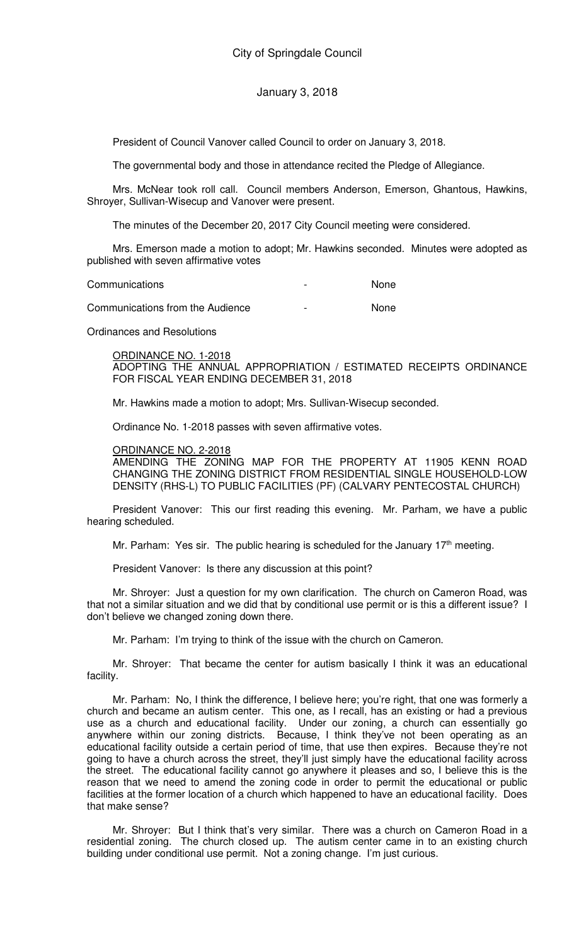President of Council Vanover called Council to order on January 3, 2018.

The governmental body and those in attendance recited the Pledge of Allegiance.

Mrs. McNear took roll call. Council members Anderson, Emerson, Ghantous, Hawkins, Shroyer, Sullivan-Wisecup and Vanover were present.

The minutes of the December 20, 2017 City Council meeting were considered.

Mrs. Emerson made a motion to adopt; Mr. Hawkins seconded. Minutes were adopted as published with seven affirmative votes

| Communications                   | $\overline{\phantom{0}}$ | <b>None</b> |
|----------------------------------|--------------------------|-------------|
| Communications from the Audience | $\overline{\phantom{0}}$ | None        |

Ordinances and Resolutions

ORDINANCE NO. 1-2018

ADOPTING THE ANNUAL APPROPRIATION / ESTIMATED RECEIPTS ORDINANCE FOR FISCAL YEAR ENDING DECEMBER 31, 2018

Mr. Hawkins made a motion to adopt; Mrs. Sullivan-Wisecup seconded.

Ordinance No. 1-2018 passes with seven affirmative votes.

## ORDINANCE NO. 2-2018

AMENDING THE ZONING MAP FOR THE PROPERTY AT 11905 KENN ROAD CHANGING THE ZONING DISTRICT FROM RESIDENTIAL SINGLE HOUSEHOLD-LOW DENSITY (RHS-L) TO PUBLIC FACILITIES (PF) (CALVARY PENTECOSTAL CHURCH)

President Vanover: This our first reading this evening. Mr. Parham, we have a public hearing scheduled.

Mr. Parham: Yes sir. The public hearing is scheduled for the January 17<sup>th</sup> meeting.

President Vanover: Is there any discussion at this point?

Mr. Shroyer: Just a question for my own clarification. The church on Cameron Road, was that not a similar situation and we did that by conditional use permit or is this a different issue? I don't believe we changed zoning down there.

Mr. Parham: I'm trying to think of the issue with the church on Cameron.

Mr. Shroyer: That became the center for autism basically I think it was an educational facility.

Mr. Parham: No, I think the difference, I believe here; you're right, that one was formerly a church and became an autism center. This one, as I recall, has an existing or had a previous use as a church and educational facility. Under our zoning, a church can essentially go anywhere within our zoning districts. Because, I think they've not been operating as an educational facility outside a certain period of time, that use then expires. Because they're not going to have a church across the street, they'll just simply have the educational facility across the street. The educational facility cannot go anywhere it pleases and so, I believe this is the reason that we need to amend the zoning code in order to permit the educational or public facilities at the former location of a church which happened to have an educational facility. Does that make sense?

Mr. Shroyer: But I think that's very similar. There was a church on Cameron Road in a residential zoning. The church closed up. The autism center came in to an existing church building under conditional use permit. Not a zoning change. I'm just curious.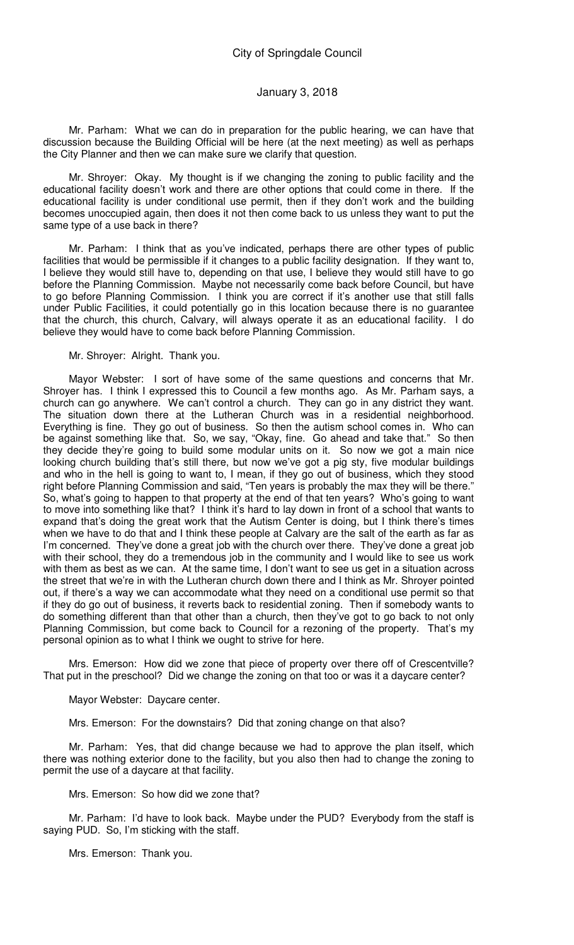Mr. Parham: What we can do in preparation for the public hearing, we can have that discussion because the Building Official will be here (at the next meeting) as well as perhaps the City Planner and then we can make sure we clarify that question.

Mr. Shroyer: Okay. My thought is if we changing the zoning to public facility and the educational facility doesn't work and there are other options that could come in there. If the educational facility is under conditional use permit, then if they don't work and the building becomes unoccupied again, then does it not then come back to us unless they want to put the same type of a use back in there?

Mr. Parham: I think that as you've indicated, perhaps there are other types of public facilities that would be permissible if it changes to a public facility designation. If they want to, I believe they would still have to, depending on that use, I believe they would still have to go before the Planning Commission. Maybe not necessarily come back before Council, but have to go before Planning Commission. I think you are correct if it's another use that still falls under Public Facilities, it could potentially go in this location because there is no guarantee that the church, this church, Calvary, will always operate it as an educational facility. I do believe they would have to come back before Planning Commission.

#### Mr. Shroyer: Alright. Thank you.

Mayor Webster: I sort of have some of the same questions and concerns that Mr. Shroyer has. I think I expressed this to Council a few months ago. As Mr. Parham says, a church can go anywhere. We can't control a church. They can go in any district they want. The situation down there at the Lutheran Church was in a residential neighborhood. Everything is fine. They go out of business. So then the autism school comes in. Who can be against something like that. So, we say, "Okay, fine. Go ahead and take that." So then they decide they're going to build some modular units on it. So now we got a main nice looking church building that's still there, but now we've got a pig sty, five modular buildings and who in the hell is going to want to, I mean, if they go out of business, which they stood right before Planning Commission and said, "Ten years is probably the max they will be there." So, what's going to happen to that property at the end of that ten years? Who's going to want to move into something like that? I think it's hard to lay down in front of a school that wants to expand that's doing the great work that the Autism Center is doing, but I think there's times when we have to do that and I think these people at Calvary are the salt of the earth as far as I'm concerned. They've done a great job with the church over there. They've done a great job with their school, they do a tremendous job in the community and I would like to see us work with them as best as we can. At the same time, I don't want to see us get in a situation across the street that we're in with the Lutheran church down there and I think as Mr. Shroyer pointed out, if there's a way we can accommodate what they need on a conditional use permit so that if they do go out of business, it reverts back to residential zoning. Then if somebody wants to do something different than that other than a church, then they've got to go back to not only Planning Commission, but come back to Council for a rezoning of the property. That's my personal opinion as to what I think we ought to strive for here.

Mrs. Emerson: How did we zone that piece of property over there off of Crescentville? That put in the preschool? Did we change the zoning on that too or was it a daycare center?

Mayor Webster: Daycare center.

Mrs. Emerson: For the downstairs? Did that zoning change on that also?

Mr. Parham: Yes, that did change because we had to approve the plan itself, which there was nothing exterior done to the facility, but you also then had to change the zoning to permit the use of a daycare at that facility.

Mrs. Emerson: So how did we zone that?

Mr. Parham: I'd have to look back. Maybe under the PUD? Everybody from the staff is saying PUD. So, I'm sticking with the staff.

Mrs. Emerson: Thank you.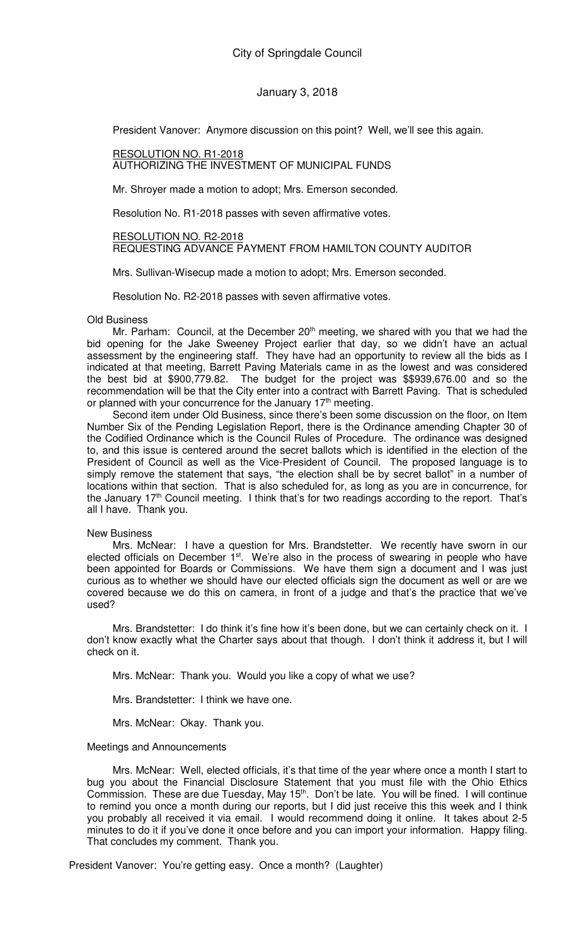President Vanover: Anymore discussion on this point? Well, we'll see this again.

#### RESOLUTION NO. R1-2018 AUTHORIZING THE INVESTMENT OF MUNICIPAL FUNDS

Mr. Shroyer made a motion to adopt; Mrs. Emerson seconded.

Resolution No. R1-2018 passes with seven affirmative votes.

#### RESOLUTION NO. R2-2018

REQUESTING ADVANCE PAYMENT FROM HAMILTON COUNTY AUDITOR

Mrs. Sullivan-Wisecup made a motion to adopt; Mrs. Emerson seconded.

Resolution No. R2-2018 passes with seven affirmative votes.

## Old Business

Mr. Parham: Council, at the December 20<sup>th</sup> meeting, we shared with you that we had the bid opening for the Jake Sweeney Project earlier that day, so we didn't have an actual assessment by the engineering staff. They have had an opportunity to review all the bids as I indicated at that meeting, Barrett Paving Materials came in as the lowest and was considered the best bid at \$900,779.82. The budget for the project was \$\$939,676.00 and so the recommendation will be that the City enter into a contract with Barrett Paving. That is scheduled or planned with your concurrence for the January 17<sup>th</sup> meeting.

Second item under Old Business, since there's been some discussion on the floor, on Item Number Six of the Pending Legislation Report, there is the Ordinance amending Chapter 30 of the Codified Ordinance which is the Council Rules of Procedure. The ordinance was designed to, and this issue is centered around the secret ballots which is identified in the election of the President of Council as well as the Vice-President of Council. The proposed language is to simply remove the statement that says, "the election shall be by secret ballot" in a number of locations within that section. That is also scheduled for, as long as you are in concurrence, for the January  $17<sup>th</sup>$  Council meeting. I think that's for two readings according to the report. That's all I have. Thank you.

## New Business

Mrs. McNear: I have a question for Mrs. Brandstetter. We recently have sworn in our elected officials on December  $1<sup>st</sup>$ . We're also in the process of swearing in people who have been appointed for Boards or Commissions. We have them sign a document and I was just curious as to whether we should have our elected officials sign the document as well or are we covered because we do this on camera, in front of a judge and that's the practice that we've used?

Mrs. Brandstetter: I do think it's fine how it's been done, but we can certainly check on it. I don't know exactly what the Charter says about that though. I don't think it address it, but I will check on it.

Mrs. McNear: Thank you. Would you like a copy of what we use?

Mrs. Brandstetter: I think we have one.

Mrs. McNear: Okay. Thank you.

#### Meetings and Announcements

Mrs. McNear: Well, elected officials, it's that time of the year where once a month I start to bug you about the Financial Disclosure Statement that you must file with the Ohio Ethics Commission. These are due Tuesday, May 15<sup>th</sup>. Don't be late. You will be fined. I will continue to remind you once a month during our reports, but I did just receive this this week and I think you probably all received it via email. I would recommend doing it online. It takes about 2-5 minutes to do it if you've done it once before and you can import your information. Happy filing. That concludes my comment. Thank you.

President Vanover: You're getting easy. Once a month? (Laughter)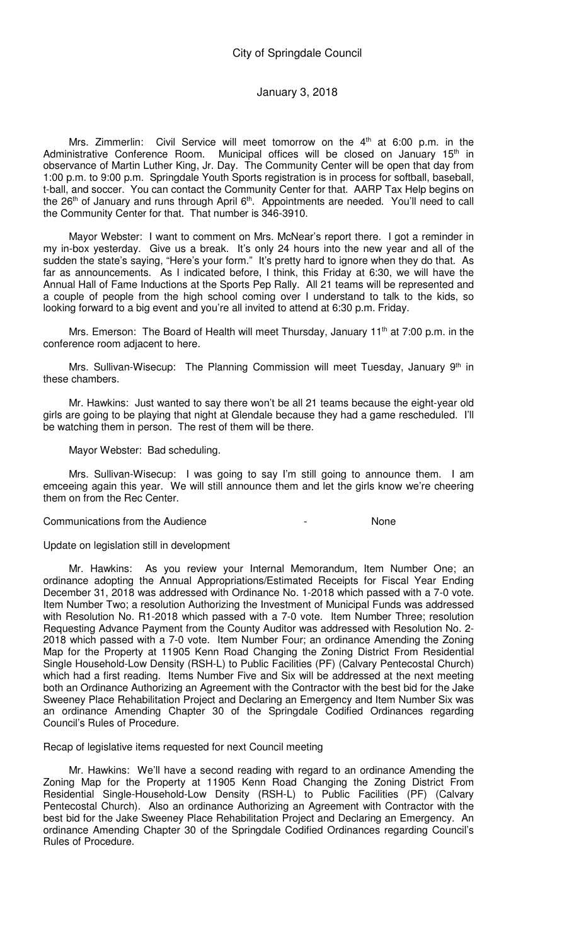Mrs. Zimmerlin: Civil Service will meet tomorrow on the  $4<sup>th</sup>$  at 6:00 p.m. in the Administrative Conference Room. Municipal offices will be closed on January 15<sup>th</sup> in observance of Martin Luther King, Jr. Day. The Community Center will be open that day from 1:00 p.m. to 9:00 p.m. Springdale Youth Sports registration is in process for softball, baseball, t-ball, and soccer. You can contact the Community Center for that. AARP Tax Help begins on the 26<sup>th</sup> of January and runs through April 6<sup>th</sup>. Appointments are needed. You'll need to call the Community Center for that. That number is 346-3910.

Mayor Webster: I want to comment on Mrs. McNear's report there. I got a reminder in my in-box yesterday. Give us a break. It's only 24 hours into the new year and all of the sudden the state's saying, "Here's your form." It's pretty hard to ignore when they do that. As far as announcements. As I indicated before, I think, this Friday at 6:30, we will have the Annual Hall of Fame Inductions at the Sports Pep Rally. All 21 teams will be represented and a couple of people from the high school coming over I understand to talk to the kids, so looking forward to a big event and you're all invited to attend at 6:30 p.m. Friday.

Mrs. Emerson: The Board of Health will meet Thursday, January  $11<sup>th</sup>$  at 7:00 p.m. in the conference room adjacent to here.

Mrs. Sullivan-Wisecup: The Planning Commission will meet Tuesday, January 9<sup>th</sup> in these chambers.

Mr. Hawkins: Just wanted to say there won't be all 21 teams because the eight-year old girls are going to be playing that night at Glendale because they had a game rescheduled. I'll be watching them in person. The rest of them will be there.

Mayor Webster: Bad scheduling.

Mrs. Sullivan-Wisecup: I was going to say I'm still going to announce them. I am emceeing again this year. We will still announce them and let the girls know we're cheering them on from the Rec Center.

## Communications from the Audience **Audience 1988**

Update on legislation still in development

Mr. Hawkins: As you review your Internal Memorandum, Item Number One; an ordinance adopting the Annual Appropriations/Estimated Receipts for Fiscal Year Ending December 31, 2018 was addressed with Ordinance No. 1-2018 which passed with a 7-0 vote. Item Number Two; a resolution Authorizing the Investment of Municipal Funds was addressed with Resolution No. R1-2018 which passed with a 7-0 vote. Item Number Three; resolution Requesting Advance Payment from the County Auditor was addressed with Resolution No. 2- 2018 which passed with a 7-0 vote. Item Number Four; an ordinance Amending the Zoning Map for the Property at 11905 Kenn Road Changing the Zoning District From Residential Single Household-Low Density (RSH-L) to Public Facilities (PF) (Calvary Pentecostal Church) which had a first reading. Items Number Five and Six will be addressed at the next meeting both an Ordinance Authorizing an Agreement with the Contractor with the best bid for the Jake Sweeney Place Rehabilitation Project and Declaring an Emergency and Item Number Six was an ordinance Amending Chapter 30 of the Springdale Codified Ordinances regarding Council's Rules of Procedure.

Recap of legislative items requested for next Council meeting

Mr. Hawkins: We'll have a second reading with regard to an ordinance Amending the Zoning Map for the Property at 11905 Kenn Road Changing the Zoning District From Residential Single-Household-Low Density (RSH-L) to Public Facilities (PF) (Calvary Pentecostal Church). Also an ordinance Authorizing an Agreement with Contractor with the best bid for the Jake Sweeney Place Rehabilitation Project and Declaring an Emergency. An ordinance Amending Chapter 30 of the Springdale Codified Ordinances regarding Council's Rules of Procedure.